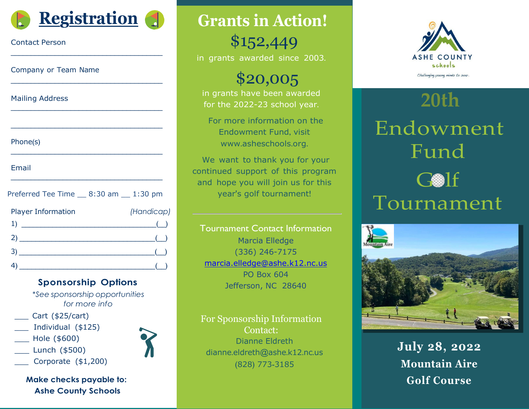

\_\_\_\_\_\_\_\_\_\_\_\_\_\_\_\_\_\_\_\_\_\_\_\_\_\_\_\_\_\_\_\_\_\_\_\_\_\_

\_\_\_\_\_\_\_\_\_\_\_\_\_\_\_\_\_\_\_\_\_\_\_\_\_\_\_\_\_\_\_\_\_\_\_\_\_\_

\_\_\_\_\_\_\_\_\_\_\_\_\_\_\_\_\_\_\_\_\_\_\_\_\_\_\_\_\_\_\_\_\_\_\_\_\_\_

\_\_\_\_\_\_\_\_\_\_\_\_\_\_\_\_\_\_\_\_\_\_\_\_\_\_\_\_\_\_\_\_\_\_\_\_\_\_

\_\_\_\_\_\_\_\_\_\_\_\_\_\_\_\_\_\_\_\_\_\_\_\_\_\_\_\_\_\_\_\_\_\_\_\_\_\_

\_\_\_\_\_\_\_\_\_\_\_\_\_\_\_\_\_\_\_\_\_\_\_\_\_\_\_\_\_\_\_\_\_\_\_\_\_\_

#### Contact Person

Company or Team Name

Mailing Address

| Phone(s) |  |
|----------|--|
|----------|--|

Email

| Preferred Tee Time __ 8:30 am __ 1:30 pm                                                                                                                                                                                                                                                                                                                            |                    |
|---------------------------------------------------------------------------------------------------------------------------------------------------------------------------------------------------------------------------------------------------------------------------------------------------------------------------------------------------------------------|--------------------|
| <b>Player Information</b>                                                                                                                                                                                                                                                                                                                                           | (Handicap)         |
| 1)                                                                                                                                                                                                                                                                                                                                                                  | $\overline{a}$ ( ) |
| $\begin{picture}(20,10) \put(0,0){\vector(1,0){100}} \put(15,0){\vector(1,0){100}} \put(15,0){\vector(1,0){100}} \put(15,0){\vector(1,0){100}} \put(15,0){\vector(1,0){100}} \put(15,0){\vector(1,0){100}} \put(15,0){\vector(1,0){100}} \put(15,0){\vector(1,0){100}} \put(15,0){\vector(1,0){100}} \put(15,0){\vector(1,0){100}} \put(15,0){\vector(1,0){100}} \$ |                    |
| $\bullet$ ( )                                                                                                                                                                                                                                                                                                                                                       |                    |
| <u> 1989 - Johann Barbara, martxa amerikan personal (h. 1989).</u>                                                                                                                                                                                                                                                                                                  |                    |

#### **Sponsorship Options**

*\*See sponsorship opportunities for more info*

- \_\_\_ Cart (\$25/cart)
- Individual (\$125)
- \_\_\_ Hole (\$600)
- Lunch (\$500)
- Corporate (\$1,200)

**Make checks payable to: Ashe County Schools**

**Grants in Action!**

\$152,449 in grants awarded since 2003.

\$20,005

in grants have been awarded for the 2022-23 school year.

For more information on the Endowment Fund, visit www.[asheschools](http://www.asheschools.org/).org.

We want to thank you for your continued support of this program and hope you will join us for this year's golf tournament!

Tournament Contact Information Marcia Elledge (336) 246-7175 [marcia.elledge@ashe.k12.nc.us](mailto:marcia.elledge@ashe.k12.nc.us) PO Box 604 Jefferson, NC 28640

For Sponsorship Information Contact: Dianne Eldreth dianne.[eldreth](mailto:dianne.eldreth@ashe.k12.nc.us)@ashe.k12.nc.us (828) 773-3185



# **20th** Endowment Fund  $G \otimes 1f$ Tournament



**July 28, 2022 Mountain Aire Golf Course**